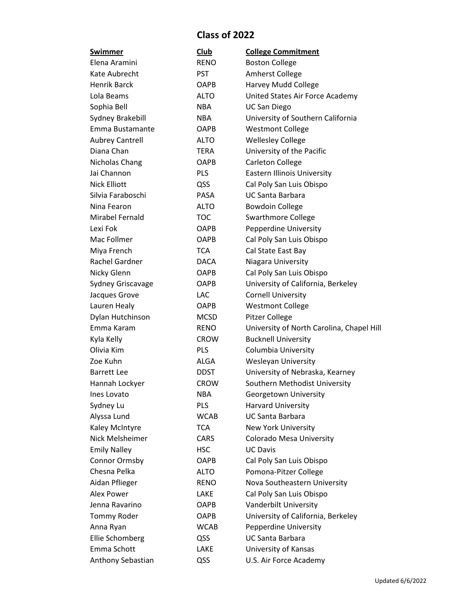## **Class of 2022**

| Swimmer                | Club        | <b>College Commitment</b>                 |  |
|------------------------|-------------|-------------------------------------------|--|
| Elena Aramini          | <b>RENO</b> | <b>Boston College</b>                     |  |
| Kate Aubrecht          | <b>PST</b>  | Amherst College                           |  |
| <b>Henrik Barck</b>    | <b>OAPB</b> | Harvey Mudd College                       |  |
| Lola Beams             | <b>ALTO</b> | United States Air Force Academy           |  |
| Sophia Bell            | <b>NBA</b>  | <b>UC San Diego</b>                       |  |
| Sydney Brakebill       | <b>NBA</b>  | University of Southern California         |  |
| Emma Bustamante        | <b>OAPB</b> | <b>Westmont College</b>                   |  |
| <b>Aubrey Cantrell</b> | ALTO        | <b>Wellesley College</b>                  |  |
| Diana Chan             | TERA        | University of the Pacific                 |  |
| Nicholas Chang         | <b>OAPB</b> | <b>Carleton College</b>                   |  |
| Jai Channon            | <b>PLS</b>  | <b>Eastern Illinois University</b>        |  |
| <b>Nick Elliott</b>    | QSS         | Cal Poly San Luis Obispo                  |  |
| Silvia Faraboschi      | <b>PASA</b> | <b>UC Santa Barbara</b>                   |  |
| Nina Fearon            | <b>ALTO</b> | <b>Bowdoin College</b>                    |  |
| Mirabel Fernald        | <b>TOC</b>  | <b>Swarthmore College</b>                 |  |
| Lexi Fok               | <b>OAPB</b> | Pepperdine University                     |  |
| Mac Follmer            | <b>OAPB</b> | Cal Poly San Luis Obispo                  |  |
| Miya French            | <b>TCA</b>  | Cal State East Bay                        |  |
| Rachel Gardner         | <b>DACA</b> | Niagara University                        |  |
| Nicky Glenn            | <b>OAPB</b> | Cal Poly San Luis Obispo                  |  |
| Sydney Griscavage      | <b>OAPB</b> | University of California, Berkeley        |  |
| Jacques Grove          | <b>LAC</b>  | <b>Cornell University</b>                 |  |
| Lauren Healy           | <b>OAPB</b> | <b>Westmont College</b>                   |  |
| Dylan Hutchinson       | <b>MCSD</b> | Pitzer College                            |  |
| Emma Karam             | <b>RENO</b> | University of North Carolina, Chapel Hill |  |
| Kyla Kelly             | <b>CROW</b> | <b>Bucknell University</b>                |  |
| Olivia Kim             | <b>PLS</b>  | Columbia University                       |  |
| Zoe Kuhn               | <b>ALGA</b> | <b>Wesleyan University</b>                |  |
| <b>Barrett Lee</b>     | <b>DDST</b> | University of Nebraska, Kearney           |  |
| Hannah Lockyer         | <b>CROW</b> | Southern Methodist University             |  |
| Ines Lovato            | <b>NBA</b>  | Georgetown University                     |  |
| Sydney Lu              | PLS         | <b>Harvard University</b>                 |  |
| Alyssa Lund            | <b>WCAB</b> | <b>UC Santa Barbara</b>                   |  |
| Kaley McIntyre         | <b>TCA</b>  | <b>New York University</b>                |  |
| Nick Melsheimer        | CARS        | Colorado Mesa University                  |  |
| <b>Emily Nalley</b>    | <b>HSC</b>  | <b>UC Davis</b>                           |  |
| Connor Ormsby          | <b>OAPB</b> | Cal Poly San Luis Obispo                  |  |
| Chesna Pelka           | <b>ALTO</b> | Pomona-Pitzer College                     |  |
| Aidan Pflieger         | <b>RENO</b> | Nova Southeastern University              |  |
| Alex Power             | LAKE        | Cal Poly San Luis Obispo                  |  |
| Jenna Ravarino         | <b>OAPB</b> | Vanderbilt University                     |  |
| Tommy Roder            | <b>OAPB</b> | University of California, Berkeley        |  |
| Anna Ryan              | <b>WCAB</b> | Pepperdine University                     |  |
| Ellie Schomberg        | QSS         | <b>UC Santa Barbara</b>                   |  |
| Emma Schott            | LAKE        | University of Kansas                      |  |
| Anthony Sebastian      | QSS         | U.S. Air Force Academy                    |  |